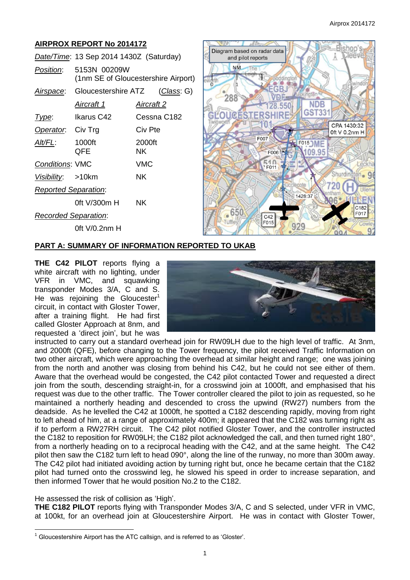# **AIRPROX REPORT No 2014172**

|                             | Date/Time: 13 Sep 2014 1430Z (Saturday) |                                     |  |
|-----------------------------|-----------------------------------------|-------------------------------------|--|
| <i>Position</i> :           | 5153N 00209W                            | (1nm SE of Gloucestershire Airport) |  |
|                             | Airspace: Gloucestershire ATZ           | (Class: G)                          |  |
|                             | Aircraft 1                              | <u>Aircraft 2</u>                   |  |
| Type:                       | Ikarus C42                              | Cessna C182                         |  |
| Operator. Civ Trg           |                                         | Civ Pte                             |  |
| Alt/FL:                     | 1000ft<br>QFE                           | 2000ft<br>ΝK                        |  |
| <b>Conditions: VMC</b>      |                                         | VMC                                 |  |
| Visibility: >10km           |                                         | NK.                                 |  |
| <b>Reported Separation:</b> |                                         |                                     |  |
|                             | 0ft V/300m H                            | <b>NK</b>                           |  |
| <b>Recorded Separation:</b> |                                         |                                     |  |
|                             | 0ft V/0.2nm H                           |                                     |  |



## **PART A: SUMMARY OF INFORMATION REPORTED TO UKAB**

**THE C42 PILOT** reports flying a white aircraft with no lighting, under VFR in VMC, and squawking transponder Modes 3/A, C and S. He was rejoining the Gloucester<sup>1</sup> circuit, in contact with Gloster Tower, after a training flight. He had first called Gloster Approach at 8nm, and requested a 'direct join', but he was



instructed to carry out a standard overhead join for RW09LH due to the high level of traffic. At 3nm, and 2000ft (QFE), before changing to the Tower frequency, the pilot received Traffic Information on two other aircraft, which were approaching the overhead at similar height and range; one was joining from the north and another was closing from behind his C42, but he could not see either of them. Aware that the overhead would be congested, the C42 pilot contacted Tower and requested a direct join from the south, descending straight-in, for a crosswind join at 1000ft, and emphasised that his request was due to the other traffic. The Tower controller cleared the pilot to join as requested, so he maintained a northerly heading and descended to cross the upwind (RW27) numbers from the deadside. As he levelled the C42 at 1000ft, he spotted a C182 descending rapidly, moving from right to left ahead of him, at a range of approximately 400m; it appeared that the C182 was turning right as if to perform a RW27RH circuit. The C42 pilot notified Gloster Tower, and the controller instructed the C182 to reposition for RW09LH; the C182 pilot acknowledged the call, and then turned right 180°, from a northerly heading on to a reciprocal heading with the C42, and at the same height. The C42 pilot then saw the C182 turn left to head 090°, along the line of the runway, no more than 300m away. The C42 pilot had initiated avoiding action by turning right but, once he became certain that the C182 pilot had turned onto the crosswind leg, he slowed his speed in order to increase separation, and then informed Tower that he would position No.2 to the C182.

He assessed the risk of collision as 'High'.

 $\overline{a}$ 

**THE C182 PILOT** reports flying with Transponder Modes 3/A, C and S selected, under VFR in VMC, at 100kt, for an overhead join at Gloucestershire Airport. He was in contact with Gloster Tower,

 $1$  Gloucestershire Airport has the ATC callsign, and is referred to as 'Gloster'.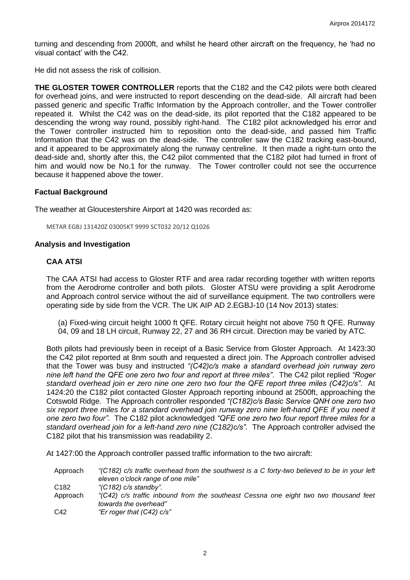turning and descending from 2000ft, and whilst he heard other aircraft on the frequency, he 'had no visual contact' with the C42.

He did not assess the risk of collision.

**THE GLOSTER TOWER CONTROLLER** reports that the C182 and the C42 pilots were both cleared for overhead joins, and were instructed to report descending on the dead-side. All aircraft had been passed generic and specific Traffic Information by the Approach controller, and the Tower controller repeated it. Whilst the C42 was on the dead-side, its pilot reported that the C182 appeared to be descending the wrong way round, possibly right-hand. The C182 pilot acknowledged his error and the Tower controller instructed him to reposition onto the dead-side, and passed him Traffic Information that the C42 was on the dead-side. The controller saw the C182 tracking east-bound, and it appeared to be approximately along the runway centreline. It then made a right-turn onto the dead-side and, shortly after this, the C42 pilot commented that the C182 pilot had turned in front of him and would now be No.1 for the runway. The Tower controller could not see the occurrence because it happened above the tower.

#### **Factual Background**

The weather at Gloucestershire Airport at 1420 was recorded as:

METAR EGBJ 131420Z 03005KT 9999 SCT032 20/12 Q1026

#### **Analysis and Investigation**

#### **CAA ATSI**

The CAA ATSI had access to Gloster RTF and area radar recording together with written reports from the Aerodrome controller and both pilots. Gloster ATSU were providing a split Aerodrome and Approach control service without the aid of surveillance equipment. The two controllers were operating side by side from the VCR. The UK AIP AD 2.EGBJ-10 (14 Nov 2013) states:

(a) Fixed-wing circuit height 1000 ft QFE. Rotary circuit height not above 750 ft QFE. Runway 04, 09 and 18 LH circuit, Runway 22, 27 and 36 RH circuit. Direction may be varied by ATC.

Both pilots had previously been in receipt of a Basic Service from Gloster Approach. At 1423:30 the C42 pilot reported at 8nm south and requested a direct join. The Approach controller advised that the Tower was busy and instructed *"(C42)c/s make a standard overhead join runway zero nine left hand the QFE one zero two four and report at three miles"*. The C42 pilot replied *"Roger standard overhead join er zero nine one zero two four the QFE report three miles (C42)c/s"*. At 1424:20 the C182 pilot contacted Gloster Approach reporting inbound at 2500ft, approaching the Cotswold Ridge. The Approach controller responded *"(C182)c/s Basic Service QNH one zero two six report three miles for a standard overhead join runway zero nine left-hand QFE if you need it one zero two four"*. The C182 pilot acknowledged *"QFE one zero two four report three miles for a standard overhead join for a left-hand zero nine (C182)c/s"*. The Approach controller advised the C182 pilot that his transmission was readability 2.

At 1427:00 the Approach controller passed traffic information to the two aircraft:

| Approach         | "(C182) c/s traffic overhead from the southwest is a C forty-two believed to be in your left<br>eleven o'clock range of one mile" |
|------------------|-----------------------------------------------------------------------------------------------------------------------------------|
|                  |                                                                                                                                   |
| C <sub>182</sub> | "(C182) c/s standby".                                                                                                             |
| Approach         | "(C42) c/s traffic inbound from the southeast Cessna one eight two two thousand feet<br>towards the overhead"                     |
| C42              | "Er roger that $(C42)$ c/s"                                                                                                       |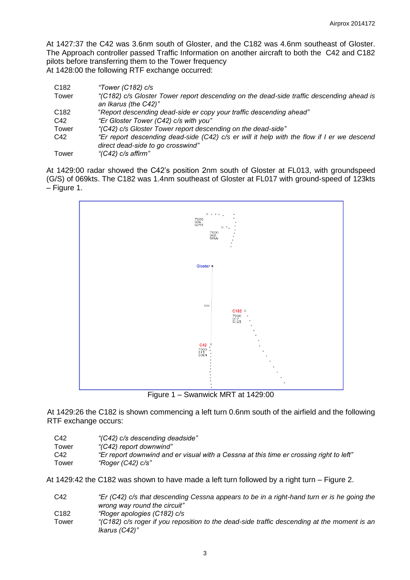At 1427:37 the C42 was 3.6nm south of Gloster, and the C182 was 4.6nm southeast of Gloster. The Approach controller passed Traffic Information on another aircraft to both the C42 and C182 pilots before transferring them to the Tower frequency At 1428:00 the following RTF exchange occurred:

| C <sub>182</sub> | "Tower (C182) $c/s$                                                                                              |
|------------------|------------------------------------------------------------------------------------------------------------------|
| Tower            | "(C182) c/s Gloster Tower report descending on the dead-side traffic descending ahead is<br>an Ikarus (the C42)" |
| C <sub>182</sub> | "Report descending dead-side er copy your traffic descending ahead"                                              |
| C42              | "Er Gloster Tower (C42) c/s with you"                                                                            |
| Tower            | "(C42) c/s Gloster Tower report descending on the dead-side"                                                     |
| C42              | "Er report descending dead-side (C42) c/s er will it help with the flow if I er we descend                       |
|                  | direct dead-side to go crosswind"                                                                                |
| Tower            | "(C42) c/s affirm"                                                                                               |

At 1429:00 radar showed the C42's position 2nm south of Gloster at FL013, with groundspeed (G/S) of 069kts. The C182 was 1.4nm southeast of Gloster at FL017 with ground-speed of 123kts – Figure 1.



Figure 1 – Swanwick MRT at 1429:00

At 1429:26 the C182 is shown commencing a left turn 0.6nm south of the airfield and the following RTF exchange occurs:

| C42   | "(C42) c/s descending deadside"                                                         |
|-------|-----------------------------------------------------------------------------------------|
| Tower | "(C42) report downwind"                                                                 |
| C42   | "Er report downwind and er visual with a Cessna at this time er crossing right to left" |
| Tower | "Roger (C42) c/s"                                                                       |

At 1429:42 the C182 was shown to have made a left turn followed by a right turn – Figure 2.

| C42              | "Er (C42) c/s that descending Cessna appears to be in a right-hand turn er is he going the  |
|------------------|---------------------------------------------------------------------------------------------|
|                  | wrong way round the circuit"                                                                |
| C <sub>182</sub> | "Roger apologies (C182) c/s                                                                 |
| Tower            | "(C182) c/s roger if you reposition to the dead-side traffic descending at the moment is an |
|                  | Ikarus (C42)"                                                                               |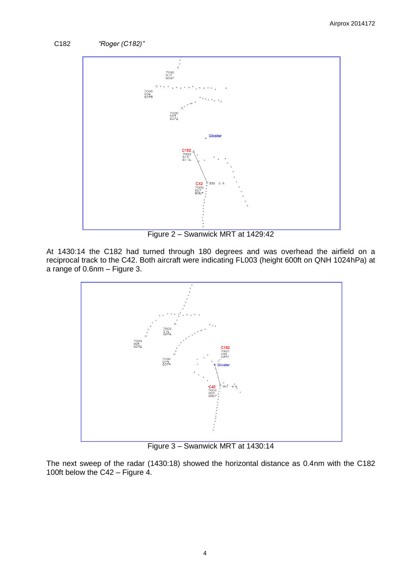



Figure 2 – Swanwick MRT at 1429:42

At 1430:14 the C182 had turned through 180 degrees and was overhead the airfield on a reciprocal track to the C42. Both aircraft were indicating FL003 (height 600ft on QNH 1024hPa) at a range of 0.6nm – Figure 3.



Figure 3 – Swanwick MRT at 1430:14

The next sweep of the radar (1430:18) showed the horizontal distance as 0.4nm with the C182 100ft below the C42 – Figure 4.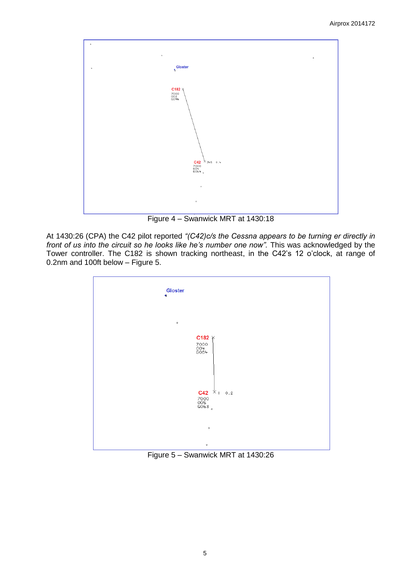

Figure 4 – Swanwick MRT at 1430:18

At 1430:26 (CPA) the C42 pilot reported *"(C42)c/s the Cessna appears to be turning er directly in front of us into the circuit so he looks like he's number one now".* This was acknowledged by the Tower controller. The C182 is shown tracking northeast, in the C42's 12 o'clock, at range of 0.2nm and 100ft below – Figure 5.



Figure 5 – Swanwick MRT at 1430:26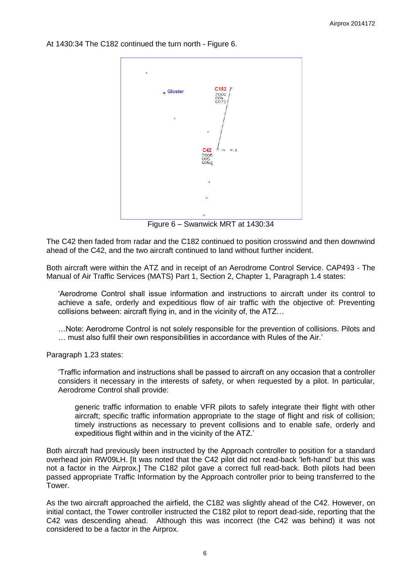At 1430:34 The C182 continued the turn north - Figure 6.



Figure 6 – Swanwick MRT at 1430:34

The C42 then faded from radar and the C182 continued to position crosswind and then downwind ahead of the C42, and the two aircraft continued to land without further incident.

Both aircraft were within the ATZ and in receipt of an Aerodrome Control Service. CAP493 - The Manual of Air Traffic Services (MATS) Part 1, Section 2, Chapter 1, Paragraph 1.4 states:

'Aerodrome Control shall issue information and instructions to aircraft under its control to achieve a safe, orderly and expeditious flow of air traffic with the objective of: Preventing collisions between: aircraft flying in, and in the vicinity of, the ATZ…

…Note: Aerodrome Control is not solely responsible for the prevention of collisions. Pilots and … must also fulfil their own responsibilities in accordance with Rules of the Air.'

Paragraph 1.23 states:

'Traffic information and instructions shall be passed to aircraft on any occasion that a controller considers it necessary in the interests of safety, or when requested by a pilot. In particular, Aerodrome Control shall provide:

generic traffic information to enable VFR pilots to safely integrate their flight with other aircraft; specific traffic information appropriate to the stage of flight and risk of collision; timely instructions as necessary to prevent collisions and to enable safe, orderly and expeditious flight within and in the vicinity of the ATZ.'

Both aircraft had previously been instructed by the Approach controller to position for a standard overhead join RW09LH. [It was noted that the C42 pilot did not read-back 'left-hand' but this was not a factor in the Airprox.] The C182 pilot gave a correct full read-back. Both pilots had been passed appropriate Traffic Information by the Approach controller prior to being transferred to the Tower.

As the two aircraft approached the airfield, the C182 was slightly ahead of the C42. However, on initial contact, the Tower controller instructed the C182 pilot to report dead-side, reporting that the C42 was descending ahead. Although this was incorrect (the C42 was behind) it was not considered to be a factor in the Airprox.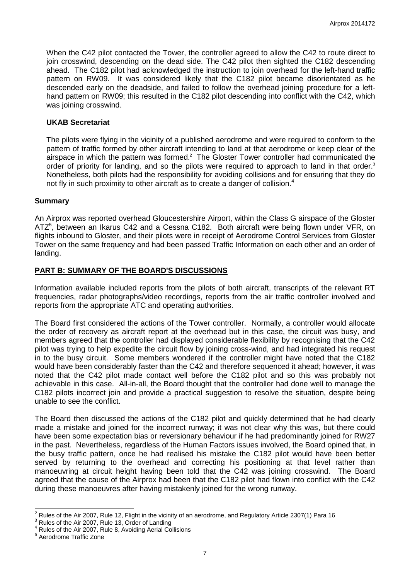When the C42 pilot contacted the Tower, the controller agreed to allow the C42 to route direct to join crosswind, descending on the dead side. The C42 pilot then sighted the C182 descending ahead. The C182 pilot had acknowledged the instruction to join overhead for the left-hand traffic pattern on RW09. It was considered likely that the C182 pilot became disorientated as he descended early on the deadside, and failed to follow the overhead joining procedure for a lefthand pattern on RW09; this resulted in the C182 pilot descending into conflict with the C42, which was joining crosswind.

### **UKAB Secretariat**

The pilots were flying in the vicinity of a published aerodrome and were required to conform to the pattern of traffic formed by other aircraft intending to land at that aerodrome or keep clear of the airspace in which the pattern was formed.<sup>2</sup> The Gloster Tower controller had communicated the order of priority for landing, and so the pilots were required to approach to land in that order.<sup>3</sup> Nonetheless, both pilots had the responsibility for avoiding collisions and for ensuring that they do not fly in such proximity to other aircraft as to create a danger of collision. $4$ 

#### **Summary**

An Airprox was reported overhead Gloucestershire Airport, within the Class G airspace of the Gloster ATZ<sup>5</sup>, between an Ikarus C42 and a Cessna C182. Both aircraft were being flown under VFR, on flights inbound to Gloster, and their pilots were in receipt of Aerodrome Control Services from Gloster Tower on the same frequency and had been passed Traffic Information on each other and an order of landing.

#### **PART B: SUMMARY OF THE BOARD'S DISCUSSIONS**

Information available included reports from the pilots of both aircraft, transcripts of the relevant RT frequencies, radar photographs/video recordings, reports from the air traffic controller involved and reports from the appropriate ATC and operating authorities.

The Board first considered the actions of the Tower controller. Normally, a controller would allocate the order of recovery as aircraft report at the overhead but in this case, the circuit was busy, and members agreed that the controller had displayed considerable flexibility by recognising that the C42 pilot was trying to help expedite the circuit flow by joining cross-wind, and had integrated his request in to the busy circuit. Some members wondered if the controller might have noted that the C182 would have been considerably faster than the C42 and therefore sequenced it ahead; however, it was noted that the C42 pilot made contact well before the C182 pilot and so this was probably not achievable in this case. All-in-all, the Board thought that the controller had done well to manage the C182 pilots incorrect join and provide a practical suggestion to resolve the situation, despite being unable to see the conflict.

The Board then discussed the actions of the C182 pilot and quickly determined that he had clearly made a mistake and joined for the incorrect runway; it was not clear why this was, but there could have been some expectation bias or reversionary behaviour if he had predominantly joined for RW27 in the past. Nevertheless, regardless of the Human Factors issues involved, the Board opined that, in the busy traffic pattern, once he had realised his mistake the C182 pilot would have been better served by returning to the overhead and correcting his positioning at that level rather than manoeuvring at circuit height having been told that the C42 was joining crosswind. The Board agreed that the cause of the Airprox had been that the C182 pilot had flown into conflict with the C42 during these manoeuvres after having mistakenly joined for the wrong runway.

<sup>2&</sup>lt;br><sup>2</sup> Rules of the Air 2007, Rule 12, Flight in the vicinity of an aerodrome, and Regulatory Article 2307(1) Para 16

Rules of the Air 2007, Rule 13, Order of Landing

<sup>4</sup> Rules of the Air 2007, Rule 8, Avoiding Aerial Collisions

<sup>5</sup> Aerodrome Traffic Zone